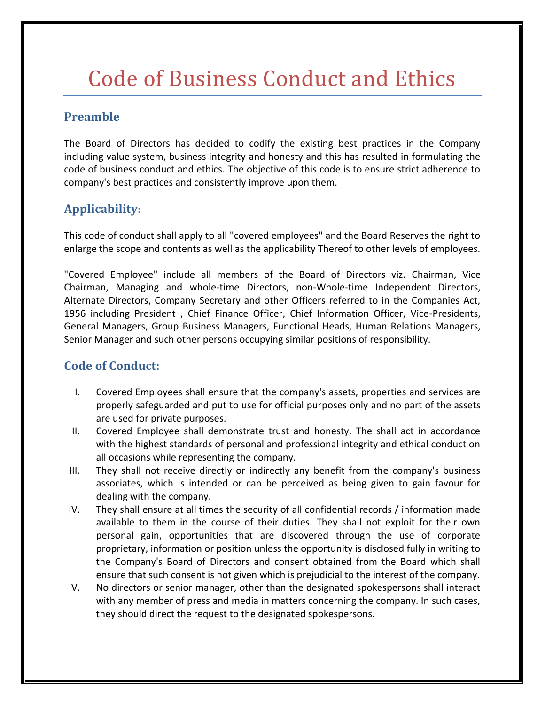## Code of Business Conduct and Ethics

## **Preamble**

The Board of Directors has decided to codify the existing best practices in the Company including value system, business integrity and honesty and this has resulted in formulating the code of business conduct and ethics. The objective of this code is to ensure strict adherence to company's best practices and consistently improve upon them.

## **Applicability:**

This code of conduct shall apply to all "covered employees" and the Board Reserves the right to enlarge the scope and contents as well as the applicability Thereof to other levels of employees.

"Covered Employee" include all members of the Board of Directors viz. Chairman, Vice Chairman, Managing and whole-time Directors, non-Whole-time Independent Directors, Alternate Directors, Company Secretary and other Officers referred to in the Companies Act, 1956 including President , Chief Finance Officer, Chief Information Officer, Vice-Presidents, General Managers, Group Business Managers, Functional Heads, Human Relations Managers, Senior Manager and such other persons occupying similar positions of responsibility.

## **Code of Conduct:**

- I. Covered Employees shall ensure that the company's assets, properties and services are properly safeguarded and put to use for official purposes only and no part of the assets are used for private purposes.
- II. Covered Employee shall demonstrate trust and honesty. The shall act in accordance with the highest standards of personal and professional integrity and ethical conduct on all occasions while representing the company.
- III. They shall not receive directly or indirectly any benefit from the company's business associates, which is intended or can be perceived as being given to gain favour for dealing with the company.
- IV. They shall ensure at all times the security of all confidential records / information made available to them in the course of their duties. They shall not exploit for their own personal gain, opportunities that are discovered through the use of corporate proprietary, information or position unless the opportunity is disclosed fully in writing to the Company's Board of Directors and consent obtained from the Board which shall ensure that such consent is not given which is prejudicial to the interest of the company.
- V. No directors or senior manager, other than the designated spokespersons shall interact with any member of press and media in matters concerning the company. In such cases, they should direct the request to the designated spokespersons.